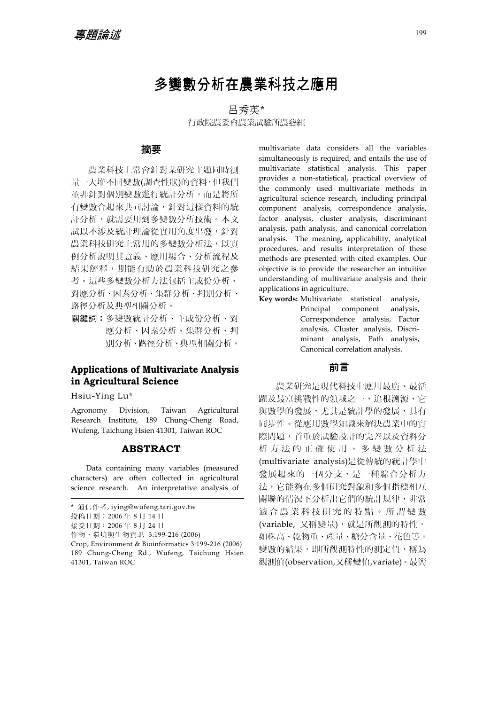# 多變數分析在農業科技之應用

呂秀英\* 行政院農委會農業試驗所農藝組

#### 摘要

農業科技上常會針對某研究主題同時測 量一大堆不同變數(調查性狀)的資料,但我們 並非針對個別變數進行統計分析,而是將所 有變數合起來共同討論,針對這樣資料的統 計分析,就需要用到多變數分析技術。本文 試以不涉及統計理論從實用角度出發,針對 農業科技研究上常用的多變數分析法,以實 例分析說明其意義、應用場合、分析流程及 結果解釋,期能有助於農業科技研究之參 考。這些多變數分析方法包括主成份分析、 對應分析、因素分析、集群分析、判別分析、 路徑分析及典型相關分析。

關鍵詞︰多變數統計分析、主成份分析、對 應分析、因素分析、集群分析、判 別分析、路徑分析、典型相關分析。

# **Applications of Multivariate Analysis in Agricultural Science**

Hsiu-Ying Lu\*

Agronomy Division, Taiwan Agricultural Research Institute, 189 Chung-Cheng Road, Wufeng, Taichung Hsien 41301, Taiwan ROC

#### **ABSTRACT**

Data containing many variables (measured characters) are often collected in agricultural science research. An interpretative analysis of

作物、環境與生物資訊 3:199-216 (2006)

multivariate data considers all the variables simultaneously is required, and entails the use of multivariate statistical analysis. This paper provides a non-statistical, practical overview of the commonly used multivariate methods in agricultural science research, including principal component analysis, correspondence analysis, factor analysis, cluster analysis, discriminant analysis, path analysis, and canonical correlation analysis. The meaning, applicability, analytical procedures, and results interpretation of these methods are presented with cited examples. Our objective is to provide the researcher an intuitive understanding of multivariate analysis and their applications in agriculture.

**Key words:** Multivariate statistical analysis, Principal component analysis, Correspondence analysis, Factor analysis, Cluster analysis, Discriminant analysis, Path analysis, Canonical correlation analysis.

## 前言

農業研究是現代科技中應用最廣、最活 躍及最富挑戰性的領域之一,追根溯源,它 與數學的發展,尤其是統計學的發展,具有 同步性。從應用數學知識來解決農業中的實 際問題,首重於試驗設計的完善以及資料分 析方法的正確使用。多變數分析法 (multivariate analysis)是從傳統的統計學中 發展起來的一個分支,是一種綜合分析方 法,它能夠在多個研究對象和多個指標相互 關聯的情況下分析出它們的統計規律,非常 適合農業科技研究的特點。所謂變數 (variable, 又稱變量),就是所觀測的特性, 如株高、乾物重、產量、糖分含量、花色等。 變數的結果,即所觀測特性的測定值,稱為 觀測值(observation,又稱變值,variate)。最簡

<sup>\*</sup> 通信作者, iying@wufeng.tari.gov.tw

投稿日期:2006 年 8 月 14 日

接受日期:2006 年 8 月 24 日

Crop, Environment & Bioinformatics 3:199-216 (2006) 189 Chung-Cheng Rd., Wufeng, Taichung Hsien 41301, Taiwan ROC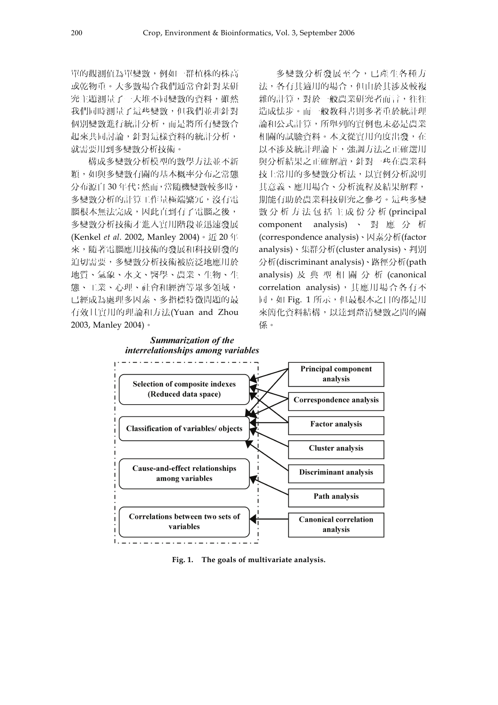單的觀測值為單變數,例如一群植株的株高 或乾物重。大多數場合我們通常會針對某研 究主題測量了一大堆不同變數的資料,雖然 我們同時測量了這些變數,但我們並非針對 個別變數進行統計分析,而是將所有變數合 起來共同討論,針對這樣資料的統計分析, 就需要用到多變數分析技術。

構成多變數分析模型的數學方法並不新 穎,如與多變數有關的基本概率分布之常態 分布源自 30 年代;然而,當隨機變數較多時, 多變數分析的計算工作量極端繁冗,沒有電 腦根本無法完成,因此直到有了電腦之後, 多變數分析技術才進入實用階段並迅速發展 (Kenkel *et al*. 2002, Manley 2004)。近 20 年 來,隨著電腦應用技術的發展和科技研發的 迫切需要,多變數分析技術被廣泛地應用於 地質、氣象、水文、醫學、農業、生物、生 態、工業、心理、社會和經濟等眾多領域, 已經成為處理多因素、多指標特徵問題的最 有效且實用的理論和方法(Yuan and Zhou 2003, Manley 2004)。

多變數分析發展至今,已產生各種方 法,各有其適用的場合,但由於其涉及較複 雜的計算,對於一般農業研究者而言,往往 造成怯步。而一般教科書則多著重於統計理 論和公式計算,所舉列的實例也未必是農業 相關的試驗資料。本文從實用角度出發,在 以不涉及統計理論下,強調方法之正確選用 與分析結果之正確解讀,針對一些在農業科 技上常用的多變數分析法,以實例分析說明 其意義、應用場合、分析流程及結果解釋, 期能有助於農業科技研究之參考。這些多變 數分析方法包括主成份分析 (principal component analysis) 、 對 應 分 析 (correspondence analysis)、因素分析(factor analysis)、集群分析(cluster analysis)、判別 分析(discriminant analysis)、路徑分析(path analysis) 及典型相關分析 (canonical correlation analysis), 其應用場合各有不 同,如 Fig. 1 所示,但最根本之目的都是用 來簡化資料結構,以達到釐清變數之間的關 係。



**Fig. 1. The goals of multivariate analysis.**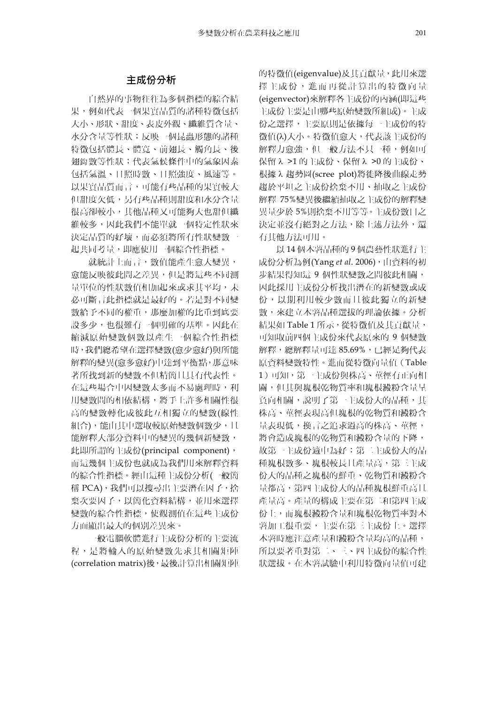# 主成份分析

自然界的事物往往為多個指標的綜合結 果,例如代表一個果實品質的諸種特徵包括 大小、形狀、甜度、表皮外觀、纖維質含量、 水分含量等性狀;反映一個昆蟲形態的諸種 特徵包括體長、體寬、前翅長、觸角長、後 翅鈎數等性狀;代表氣候條件中的氣象因素 包括氣溫、日照時數、日照強度、風速等。 以果實品質而言,可能有些品種的果實較大 但甜度欠低,另有些品種則甜度和水分含量 很高卻較小,其他品種又可能夠大也甜但纖 維較多,因此我們不能單就一個特定性狀來 決定品質的好壞,而必須將所有性狀變數一 起共同考量,即應使用一個綜合性指標。

就統計上而言,數值能產生愈大變異, 愈能反映彼此間之差異,但是將這些不同測 量單位的性狀數值相加起來或求其平均,未 必可斷言此指標就是最好的。若是對不同變 數給予不同的權重,那麼加權的比重到底要 設多少,也很難有一個明確的基準。因此在 縮減原始變數個數以產生一個綜合性指標 時,我們總希望在選擇變數(愈少愈好)與所能 解釋的變異(愈多愈好)中達到平衡點,那意味 著所找到新的變數不但精簡且具有代表性。 在這些場合中因變數太多而不易處理時,利 用變數間的相依結構,將手上許多相關性很 高的變數轉化成彼此互相獨立的變數(線性 組合),能由其中選取較原始變數個數少,且 能解釋大部分資料中的變異的幾個新變數, 此即所謂的主成份(principal component), 而這幾個主成份也就成為我們用來解釋資料 的綜合性指標。經由這種主成份分析(一般簡 稱 PCA),我們可以搜尋出主要潛在因子,捨 棄次要因子,以簡化資料結構,並用來選擇 變數的綜合性指標,使觀測值在這些主成份 方面顯出最大的個別差異來。

一般電腦軟體進行主成份分析的主要流 程,是將輸入的原始變數先求其相關矩陣 (correlation matrix)後,最後計算出相關矩陣 的特徵值(eigenvalue)及其貢獻量,此用來選 擇主成份,進而再從計算出的特徵向量 (eigenvector)來解釋各主成份的內涵(即這些 主成份主要是由哪些原始變數所組成)。主成 份之選擇,主要原則是依據每一主成份的特 徵值(λ)大小。特徵值愈大,代表該主成份的 解釋力愈強,但一般方法不只一種,例如可 保留 λ >1 的主成份、保留 λ >0 的主成份、 根據 λ 趨勢圖(scree plot)將徙降後曲線走勢 趨於平坦之主成份捨棄不用、抽取之主成份 解釋 75%變異後繼續抽取之主成份的解釋變 異量少於 5%則捨棄不用等等。主成份數目之 決定並沒有絕對之方法,除上述方法外,還 有其他方法可用。

以 14 個木薯品種的 9 個農藝性狀進行主 成份分析為例(Yang *et al*. 2006),由資料的初 步結果得知這 9 個性狀變數之間彼此相關, 因此採用主成份分析找出潛在的新變數或成 份,以期利用較少數而且彼此獨立的新變 數,來建立木薯品種選拔的理論依據。分析 結果如 Table 1 所示,從特徵值及其貢獻量, 可知取前四個主成份來代表原來的 9 個變數 解釋,總解釋量可達 85.69%,已經足夠代表 原資料變數特性。進而從特徵向量值(Table 1)可知,第一主成份與株高、莖徑有正向相 關,但其與塊根乾物質率和塊根澱粉含量呈 負向相關,說明了第一主成份大的品種,其 株高、莖徑表現高但塊根的乾物質和澱粉含 量表現低,換言之追求過高的株高、莖徑, 將會造成塊根的乾物質和澱粉含量的下降, 故第一主成份適中為好;第二主成份大的品 種塊根數多、塊根較長且產量高,第三主成 份大的品種之塊根的鮮重、乾物質和澱粉含 量都高,第四主成份大的品種塊根鮮重高且 產量高。產量的構成主要在第二和第四主成 份上,而塊根澱粉含量和塊根乾物質率對木 薯加工很重要,主要在第三主成份上。選擇 木薯時應注意產量和澱粉含量均高的品種, 所以要著重對第二、三、四主成份的綜合性 狀選拔。在木薯試驗中利用特徵向量值可建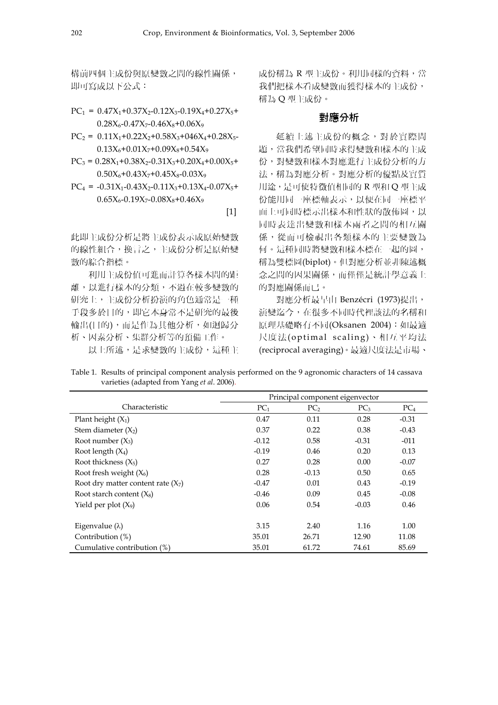構前四個主成份與原變數之間的線性關係, 即可寫成以下公式:

$$
PC_1 = 0.47X_1 + 0.37X_2 - 0.12X_3 - 0.19X_4 + 0.27X_5 + 0.28X_6 - 0.47X_7 - 0.46X_8 + 0.06X_9
$$

 $PC_2 = 0.11X_1+0.22X_2+0.58X_3+0.46X_4+0.28X_5 0.13X_6+0.01X_7+0.09X_8+0.54X_9$ 

$$
PC_3 = 0.28X_1 + 0.38X_2 - 0.31X_3 + 0.20X_4 + 0.00X_5 + 0.50X_6 + 0.43X_7 + 0.45X_8 - 0.03X_9
$$

 $PC_4$  = -0.31X<sub>1</sub>-0.43X<sub>2</sub>-0.11X<sub>3</sub>+0.13X<sub>4</sub>-0.07X<sub>5</sub>+  $0.65X_{6} - 0.19X_{7} - 0.08X_{8} + 0.46X_{9}$ 

 $[1]$ 

此即主成份分析是將主成份表示成原始變數 的線性組合,換言之,主成份分析是原始變 數的綜合指標。

利用主成份值可進而計算各樣本間的距 離,以進行樣本的分類,不過在較多變數的 研究上,主成份分析扮演的角色通常是一種 手段多於目的,即它本身常不是研究的最後 輸出(目的),而是作為其他分析,如迴歸分 析、因素分析、集群分析等的預備工作。

以上所述,是求變數的主成份,這種主

成份稱為 R 型主成份。利用同樣的資料,當 我們把樣本看成變數而獲得樣本的主成份, 稱為 Q 型主成份。

#### 對應分析

延續上述主成份的概念,對於實際問 題,當我們希望同時求得變數和樣本的主成 份,對變數和樣本對應進行主成份分析的方 法,稱為對應分析。對應分析的優點及實質 用途,是可使特徵值相同的 R 型和 Q 型主成 份能用同一座標軸表示,以便在同一座標平 面上可同時標示出樣本和性狀的散佈圖,以 同時表達出變數和樣本兩者之間的相互關 係,從而可檢視出各類樣本的主要變數為 何。這種同時將變數和樣本標在一起的圖, 稱為雙標圖(biplot)。但對應分析並非陳述概 念之間的因果關係,而僅僅是統計學意義上 的對應關係而已。

對應分析最早由 Benzécri (1973)提出, 演變迄今,在很多不同時代裡該法的名稱和 原理基礎略有不同(Oksanen 2004):如最適 尺度法(optimal scaling)、相互平均法 (reciprocal averaging)。最適尺度法是市場、

Table 1. Results of principal component analysis performed on the 9 agronomic characters of 14 cassava varieties (adapted from Yang *et al*. 2006).

|                                      | Principal component eigenvector |                 |                 |                 |
|--------------------------------------|---------------------------------|-----------------|-----------------|-----------------|
| Characteristic                       | PC <sub>1</sub>                 | PC <sub>2</sub> | PC <sub>3</sub> | PC <sub>4</sub> |
| Plant height $(X_1)$                 | 0.47                            | 0.11            | 0.28            | $-0.31$         |
| Stem diameter $(X_2)$                | 0.37                            | 0.22            | 0.38            | $-0.43$         |
| Root number $(X_3)$                  | $-0.12$                         | 0.58            | $-0.31$         | $-011$          |
| Root length $(X_4)$                  | $-0.19$                         | 0.46            | 0.20            | 0.13            |
| Root thickness $(X_5)$               | 0.27                            | 0.28            | 0.00            | $-0.07$         |
| Root fresh weight $(X_6)$            | 0.28                            | $-0.13$         | 0.50            | 0.65            |
| Root dry matter content rate $(X_7)$ | $-0.47$                         | 0.01            | 0.43            | $-0.19$         |
| Root starch content $(X_8)$          | $-0.46$                         | 0.09            | 0.45            | $-0.08$         |
| Yield per plot $(X_9)$               | 0.06                            | 0.54            | $-0.03$         | 0.46            |
|                                      |                                 |                 |                 |                 |
| Eigenvalue $(\lambda)$               | 3.15                            | 2.40            | 1.16            | 1.00            |
| Contribution (%)                     | 35.01                           | 26.71           | 12.90           | 11.08           |
| Cumulative contribution (%)          | 35.01                           | 61.72           | 74.61           | 85.69           |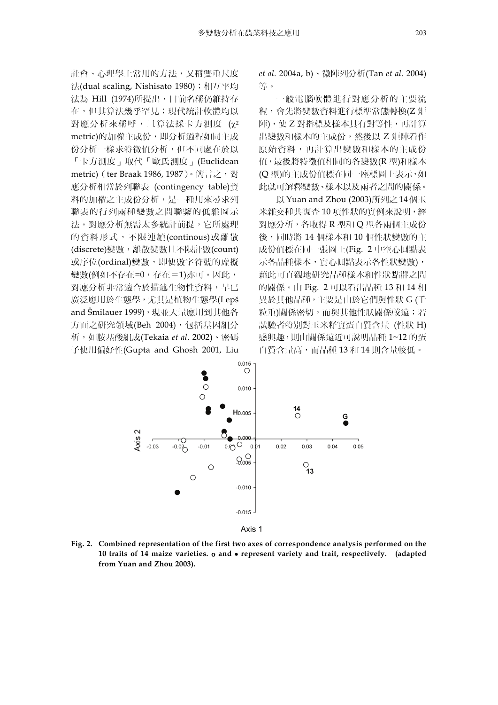社會、心理學上常用的方法,又稱雙重尺度 法(dual scaling, Nishisato 1980); 相互平均 法為 Hill (1974)所提出,目前名稱仍維持存 在,但其算法幾乎罕見;現代統計軟體均以 對應分析來稱呼,且算法採卡方測度 (χ2 metric)的加權主成份,即分析過程如同主成 份分析一樣求特徵值分析,但不同處在於以 「卡方測度」取代「歐氏測度」(Euclidean metric) (ter Braak 1986, 1987)。簡言之, 對 應分析相當於列聯表 (contingency table)資 料的加權之主成份分析,是一種用來尋求列 聯表的行列兩種變數之間聯繫的低維圖示 法。對應分析無需太多統計前提,它所處理 的資料形式,不限連續(continous)或離散 (discrete)變數,離散變數且不限計數(count) 或序位(ordinal)變數, 即使數字符號的虛擬 變數(例如不存在=0,存在=1)亦可。因此, 對應分析非常適合於描述生物性資料,早已 廣泛應用於生態學,尤其是植物生態學(Lepš and Šmilauer 1999),現並大量應用到其他各 方面之研究領域(Beh 2004), 包括基因組分 析,如胺基酸組成(Tekaia *et al*. 2002)、密碼 子使用偏好性(Gupta and Ghosh 2001, Liu

*et al.* 2004a, b)、微陣列分析(Tan *et al*. 2004) 等。

一般電腦軟體進行對應分析的主要流 程,會先將變數資料進行標準常態轉換(Z 矩 陣),使 Z 對指標及樣本具有對等性,再計算 出變數和樣本的主成份,然後以 Z 矩陣看作 原始資料,再計算出變數和樣本的主成份 值,最後將特徵值相同的各變數(R 型)和樣本 (Q 型)的主成份值標在同一座標圖上表示,如 此就可解釋變數、樣本以及兩者之間的關係。

以 Yuan and Zhou (2003)所列之 14 個玉 米雜交種共調查 10 項性狀的實例來說明,經 對應分析,各取得 R 型和 Q 型各兩個主成份 後,同時將 14 個樣本和 10 個性狀變數的主 成份值標在同一張圖上(Fig. 2 中空心圓點表 示各品種樣本,實心圓點表示各性狀變數), 藉此可直觀地研究品種樣本和性狀點群之間 的關係。由 Fig. 2 可以看出品種 13 和 14 相 異於其他品種,主要是由於它們與性狀 G (千 粒重)關係密切,而與其他性狀關係較遠;若 試驗者特別對玉米籽實蛋白質含量 (性狀 H) 感興趣,則由關係遠近可說明品種 1~12 的蛋 白質含量高,而品種 13 和 14 則含量較低。





**Fig. 2. Combined representation of the first two axes of correspondence analysis performed on the 10 traits of 14 maize varieties.** ο **and** • **represent variety and trait, respectively. (adapted from Yuan and Zhou 2003).**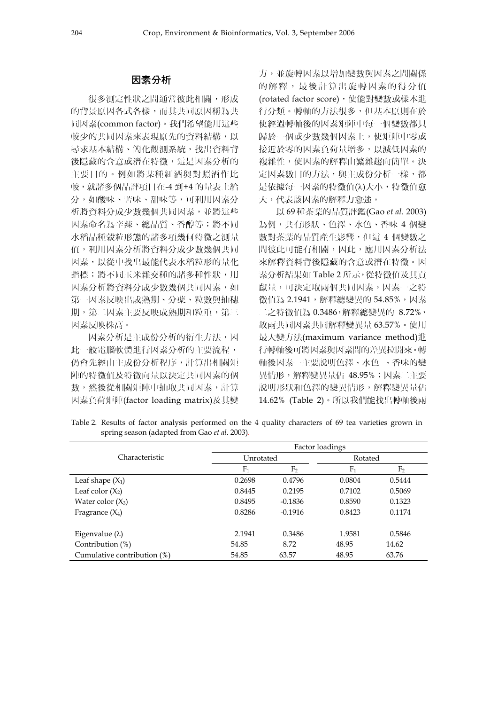### 因素分析

很多測定性狀之間通常彼此相關,形成 的背景原因各式各樣,而其共同原因稱為共 同因素(common factor)。我們希望能用這些 較少的共同因素來表現原先的資料結構,以 尋求基本結構、簡化觀測系統,找出資料背 後隱藏的含意或潛在特徵,這是因素分析的 主要目的。例如將某種紅酒與對照酒作比 較,就諸多個品評項目在-4 到+4 的量表上給 分,如酸味、苦味、甜味等,可利用因素分 析將資料分成少數幾個共同因素,並將這些 因素命名為辛辣、總品質、香醇等;將不同 水稻品種穀粒形態的諸多項幾何特徵之測量 值,利用因素分析將資料分成少數幾個共同 因素,以從中找出最能代表水稻粒形的量化 指標;將不同玉米雜交種的諸多種性狀,用 因素分析將資料分成少數幾個共同因素,如 第一因素反映出成熟期、分蘗、粒數與抽穗 期, 第二因素主要反映成熟期和粒重, 第三 因素反映株高。

因素分析是主成份分析的衍生方法,因 此一般電腦軟體進行因素分析的主要流程, 仍會先經由主成份分析程序,計算出相關矩 陣的特徵值及特徵向量以決定共同因素的個 數,然後從相關矩陣中抽取共同因素,計算 因素負荷矩陣(factor loading matrix)及其變

方,並旋轉因素以增加變數與因素之間關係 的解釋,最後計算出旋轉因素的得分值 (rotated factor score), 使能對變數或樣本進 行分類。轉軸的方法很多,但基本原則在於 使經過轉軸後的因素矩陣中每一個變數都只 歸於一個或少數幾個因素上,使矩陣中零或 接近於零的因素負荷量增多,以減低因素的 複雜性,使因素的解釋由繁雜趨向簡單。決 定因素數目的方法,與主成份分析一樣,都 是依據每一因素的特徵值( $\lambda$ )大小, 特徵值愈 大,代表該因素的解釋力愈強。

以 69 種茶葉的品質評鑑(Gao *et al*. 2003) 為例,共有形狀、色澤、水色、香味 4 個變 數對茶葉的品質產生影響,但這 4 個變數之 間彼此可能有相關,因此,應用因素分析法 來解釋資料背後隱藏的含意或潛在特徵。因 素分析結果如 Table 2 所示,從特徵值及其貢 獻量,可決定取兩個共同因素,因素一之特 徵值為 2.1941,解釋總變異的 54.85%,因素 二之特徵值為 0.3486,解釋總變異的 8.72%, 故兩共同因素共同解釋變異量 63.57%。使用 最大變方法(maximum variance method)進 行轉軸後可將因素與因素間的差異拉開來。轉 軸後因素一主要說明色澤、水色 、香味的變 異情形,解釋變異量佔 48.95%;因素二主要 說明形狀和色澤的變異情形,解釋變異量佔 14.62% (Table 2)。所以我們能找出轉軸後兩

Table 2. Results of factor analysis performed on the 4 quality characters of 69 tea varieties grown in spring season (adapted from Gao *et al*. 2003).

|                             | Factor loadings |                |                |                |  |
|-----------------------------|-----------------|----------------|----------------|----------------|--|
| Characteristic              | Unrotated       |                |                | Rotated        |  |
|                             | F <sub>1</sub>  | F <sub>2</sub> | F <sub>1</sub> | F <sub>2</sub> |  |
| Leaf shape $(X_1)$          | 0.2698          | 0.4796         | 0.0804         | 0.5444         |  |
| Leaf color $(X_2)$          | 0.8445          | 0.2195         | 0.7102         | 0.5069         |  |
| Water color $(X_3)$         | 0.8495          | $-0.1836$      | 0.8590         | 0.1323         |  |
| Fragrance $(X_4)$           | 0.8286          | $-0.1916$      | 0.8423         | 0.1174         |  |
|                             |                 |                |                |                |  |
| Eigenvalue $(\lambda)$      | 2.1941          | 0.3486         | 1.9581         | 0.5846         |  |
| Contribution $(\%)$         | 54.85           | 8.72           | 48.95          | 14.62          |  |
| Cumulative contribution (%) | 54.85           | 63.57          | 48.95          | 63.76          |  |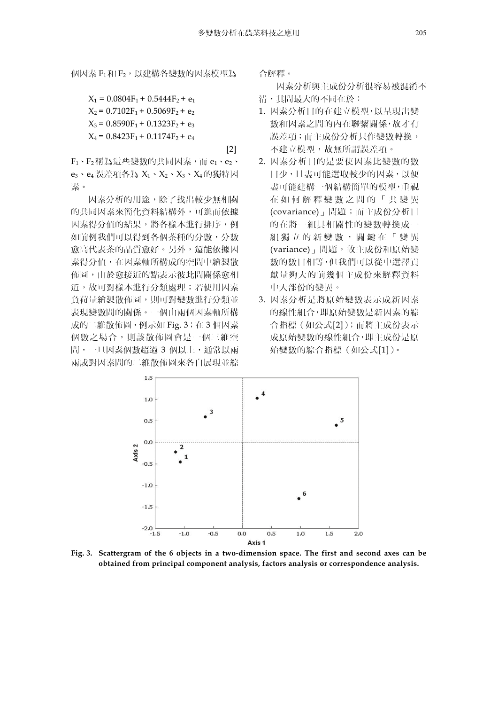個因素 F1 和 F2, 以建構各變數的因素模型為

 $X_1 = 0.0804F_1 + 0.5444F_2 + e_1$  $X_2 = 0.7102F_1 + 0.5069F_2 + e_2$  $X_3 = 0.8590F_1 + 0.1323F_2 + e_3$  $X_4 = 0.8423F_1 + 0.1174F_2 + e_4$ [2]

 $F_1$ 、 $F_2$ 稱為這些變數的共同因素,而  $e_1$ 、 $e_2$ 、  $e_3 \cdot e_4$ 誤差項各為 $X_1 \cdot X_2 \cdot X_3 \cdot X_4$ 的獨特因 素。

因素分析的用途,除了找出較少無相關 的共同因素來簡化資料結構外,可進而依據 因素得分值的結果,將各樣本進行排序,例 如前例我們可以得到各個茶種的分數,分數 愈高代表茶的品質愈好。另外,還能依據因 素得分值,在因素軸所構成的空間中繪製散 佈圖,由於愈接近的點表示彼此間關係愈相 沂,故可對樣本進行分類處理;若使用因素 負荷量繪製散佈圖,則可對變數進行分類並 表現變數間的關係。一個由兩個因素軸所構 成的二維散佈圖,例示如 Fig. 3;在 3 個因素 個數之場合,則該散佈圖會是一個三維空 間,一旦因素個數超過 3 個以上,通常以兩 兩成對因素間的二維散佈圖來各自展現並綜

合解釋。

因素分析與主成份分析很容易被混淆不 清,其間最大的不同在於:

- 1. 因素分析目的在建立模型,以呈現出變 數和因素之間的內在聯繫關係,故才有 誤差項;而主成份分析只作變數轉換, 不建立模型,故無所謂誤差項。
- 2. 因素分析目的是要使因素比變數的數 目少,且盡可能選取較少的因素,以便 盡可能建構一個結構簡單的模型,重視 在如何解釋變數之間的「共變異 (covariance)」問題;而主成份分析目 的在將一組具相關性的變數轉換成一 組獨立的新變數,關鍵在「變異 (variance)」問題,故主成份和原始變 數的數目相等,但我們可以從中選擇貢 獻量夠大的前幾個主成份來解釋資料 中大部份的變異。
- 3. 因素分析是將原始變數表示成新因素 的線性組合,即原始變數是新因素的綜 合指標(如公式[2]);而將主成份表示 成原始變數的線性組合,即主成份是原 始變數的綜合指標(如公式[1])。



**Fig. 3. Scattergram of the 6 objects in a two-dimension space. The first and second axes can be obtained from principal component analysis, factors analysis or correspondence analysis.**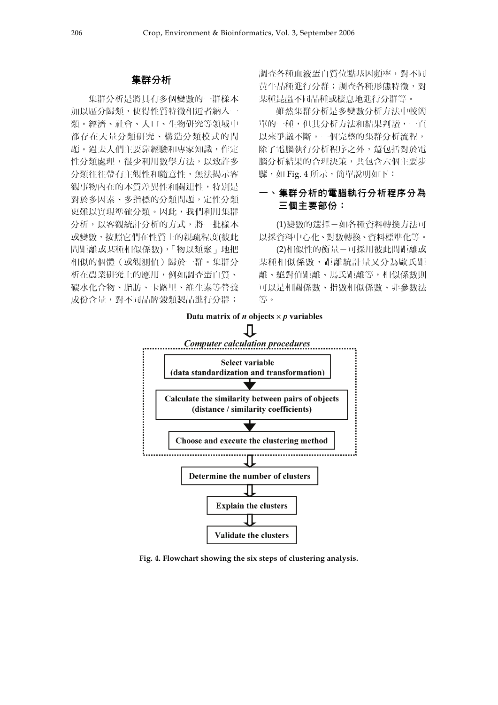#### 集群分析

集群分析是將具有多個變數的一群樣本 加以區分歸類,使得性質特徵相近者納入一 類。經濟、社會、人口、生物研究等領域中 都存在大量分類研究、構造分類模式的問 題。過去人們主要靠經驗和專家知識,作定 性分類處理,很少利用數學方法,以致許多 分類往往帶有主觀性和隨意性,無法揭示客 觀事物內在的本質差異性和關連性,特別是 對於多因素、多指標的分類問題,定性分類 更難以實現準確分類。因此,我們利用集群 分析,以客觀統計分析的方式,將一批樣本 或變數,按照它們在性質上的親疏程度(彼此 間距離或某種相似係數),「物以類聚」地把 相似的個體(或觀測值)歸於一群。集群分 析在農業研究上的應用,例如調查蛋白質、 碳水化合物、脂肪、卡路里、維生素等營養 成份含量,對不同品牌穀類製品進行分群;

調查各種血液蛋白質位點基因頻率,對不同 黃牛品種進行分群;調查各種形態特徵,對 某種昆蟲不同品種或棲息地進行分群等。

雖然集群分析是多變數分析方法中較簡 單的一種,但其分析方法和結果判讀,一直 以來爭議不斷。一個完整的集群分析流程, 除了電腦執行分析程序之外,還包括對於電 腦分析結果的合理決策,共包含六個主要步 驟,如 Fig. 4 所示,簡單說明如下:

## 一、集群分析的電腦執行分析程序分為 三個主要部份:

(1)變數的選擇-如各種資料轉換方法可 以採資料中心化、對數轉換、資料標準化等。

(2)相似性的衡量-可採用彼此間距離或 某種相似係數,距離統計量又分為歐氏距 離、絕對值距離、馬氏距離等,相似係數則 可以是相關係數、指數相似係數、非參數法 等。



**Fig. 4. Flowchart showing the six steps of clustering analysis.**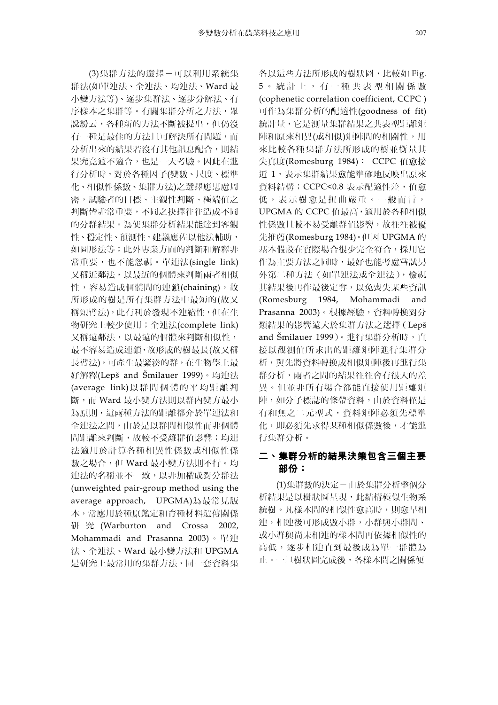(3)集群方法的選擇-可以利用系統集 群法(如單連法、全連法、均連法、Ward 最 小變方法等)、逐步集群法、逐步分解法、有 序樣本之集群等。有關集群分析之方法,眾 說紛云,各種新的方法不斷被提出,但仍沒 有一種是最佳的方法且可解決所有問題,而 分析出來的結果若沒有其他訊息配合,則結 果究竟適不適合,也是一大考驗。因此在進 行分析時,對於各種因子(變數、尺度、標準 化、相似性係數、集群方法)之選擇應思慮周 密,試驗者的目標、主觀性判斷、極端值之 判斷皆非常重要,不同之抉擇往往造成不同 的分群結果。為使集群分析結果能達到客觀 性、穩定性、預測性,建議應佐以他法輔助, 如圖形法等;此外專業方面的判斷和解釋非 常重要,也不能忽視。單連法(single link) 又稱近鄰法,以最近的個體來判斷兩者相似 性,容易造成個體間的連鎖(chaining),故 所形成的樹是所有集群方法中最短的(故又 稱短臂法),此有利於發現不連續性,但在生 物研究上較少使用;全連法(complete link) 又稱遠鄰法,以最遠的個體來判斷相似性, 最不容易造成連鎖,故形成的樹最長(故又稱 長臂法),可產生最緊湊的群,在生物學上最 好解釋(Lepš and Šmilauer 1999)。均連法 (average link)以群間個體的平均距離判 斷,而 Ward 最小變方法則以群內變方最小 為原則,這兩種方法的距離都介於單連法和 全連法之間,由於是以群間相似性而非個體 間距離來判斷,故較不受離群值影響;均連 法適用於計算各種相異性係數或相似性係 數之場合,但 Ward 最小變方法則不行。均 連法的名稱並不一致,以非加權成對分群法 (unweighted pair-group method using the average approach, UPGMA)為最常見版 本,常應用於種原鑑定和育種材料遺傳關係 研 究 (Warburton and Crossa 2002, Mohammadi and Prasanna 2003)。單連 法、全連法、Ward 最小變方法和 UPGMA 是研究上最常用的集群方法,同一套資料集

各以這些方法所形成的樹狀圖,比較如 Fig. 5。統計上,有一種共表型相關係數 (cophenetic correlation coefficient, CCPC ) 可作為集群分析的配適性(goodness of fit) 統計量,它是測量集群結果之共表型距離矩 陣和原來相異(或相似)矩陣間的相關性,用 來比較各種集群方法所形成的樹並衡量其 失真度(Romesburg 1984): CCPC 值愈接 近 1,表示集群結果愈能準確地反映出原來 資料結構;CCPC<0.8 表示配適性差,值愈 低,表示樹愈是扭曲嚴重。一般而言, UPGMA 的 CCPC 值最高,適用於各種相似 性係數且較不易受離群值影響,故往往被優 先推薦(Romesburg 1984)。但因 UPGMA 的 基本假設在實際場合很少完全符合,採用它 作為主要方法之同時,最好也能考慮嘗試另 外第二種方法(如單連法或全連法),檢視 其結果後再作最後定奪,以免喪失某些資訊 (Romesburg 1984, Mohammadi and Prasanna 2003)。根據經驗,資料轉換對分 類結果的影響遠大於集群方法之選擇(Lepš and Šmilauer 1999)。進行集群分析時, 直 接以觀測值所求出的距離矩陣進行集群分 析,與先將資料轉換成相似矩陣後再進行集 群分析,兩者之間的結果往往會有很大的差 異。但並非所有場合都能直接使用距離矩 陣,如分子標誌的條帶資料,由於資料僅是 有和無之二元型式,資料矩陣必須先標準 化,即必須先求得某種相似係數後,才能進 行集群分析。

# 二、集群分析的結果決策包含三個主要 部份:

(1)集群數的決定-由於集群分析整個分 析結果是以樹狀圖呈現,此結構極似生物系 統樹。凡樣本間的相似性愈高時,則愈早相 連,相連後可形成數小群,小群與小群間、 或小群與尚未相連的樣本間再依據相似性的 高低,逐步相連直到最後成為單一群體為 止。一旦樹狀圖完成後,各樣本間之關係便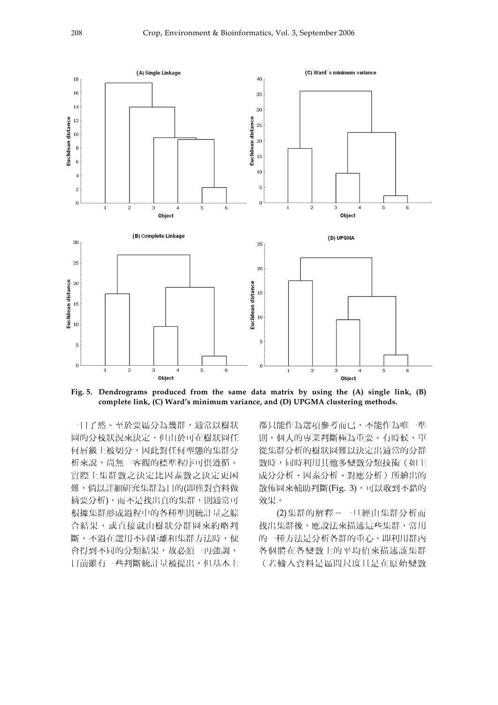

**Fig. 5. Dendrograms produced from the same data matrix by using the (A) single link, (B) complete link, (C) Ward's minimum variance, and (D) UPGMA clustering methods.** 

一目了然。至於要區分為幾群,通常以樹狀 圖的分枝狀況來決定,但由於可在樹狀圖任 何層級上被切分,因此對任何型態的集群分 析來說,尚無一客觀的標準程序可供遵循。 實際上集群數之決定比因素數之決定更困 難,倘以詳細研究集群為目的(即僅對資料做 摘要分析),而不是找出真的集群,則通常可 根據集群形成過程中的各種準則統計量之綜 合結果,或直接就由樹狀分群圖來約略判 斷,不過在選用不同距離和集群方法時,便 會得到不同的分類結果,故必須一再強調, 目前雖有一些判斷統計量被提出,但基本上

都只能作為選項參考而已,不能作為唯一準 則,個人的專業判斷極為重要。有時候,單 從集群分析的樹狀圖難以決定出適當的分群 數時,同時利用其他多變數分類技術(如主 成分分析、因素分析、對應分析)所繪出的 散佈圖來輔助判斷(Fig. 3),可以收到不錯的 效果。

(2)集群的解釋-一旦經由集群分析而 找出集群後,應設法來描述這些集群,常用 的一種方法是分析各群的重心,即利用群內 各個體在各變數上的平均值來描述該集群 (若輸入資料是區間尺度且是在原始變數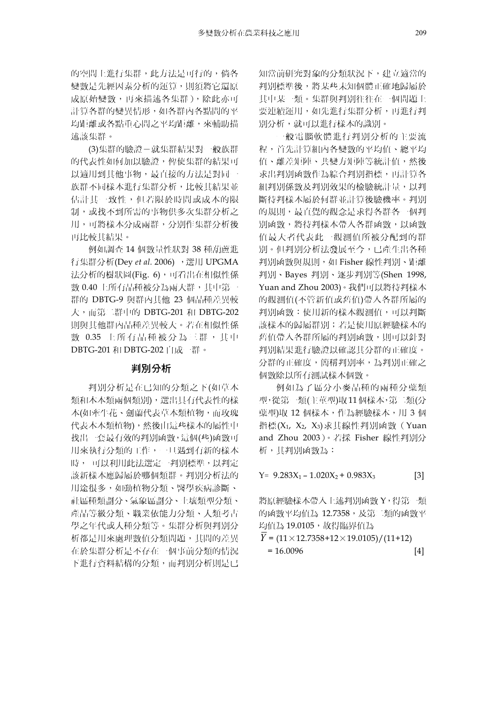的空間上進行集群,此方法是可行的,倘各 變數是先經因素分析的運算,則須將它還原 成原始變數,再來描述各集群),除此亦可 計算各群的變異情形,如各群內各點間的平 均距離或各點重心間之平均距離,來輔助描 述該集群。

(3)集群的驗證-就集群結果對一般族群 的代表性如何加以驗證,俾使集群的結果可 以適用到其他事物,最直接的方法是對同一 族群不同樣本進行集群分析,比較其結果並 估計其一致性,但若限於時間或成本的限 制,或找不到所需的事物供多次集群分析之 用,可將樣本分成兩群,分別作集群分析後 再比較其結果。

例如調查 14 個數量性狀對 38 種葫蘆進 行集群分析(Dey *et al.* 2006) ,選用 UPGMA 法分析的樹狀圖(Fig. 6),可看出在相似性係 數 0.40 上所有品種被分為兩大群,其中第一 群的 DBTG-9 與群內其他 23 個品種差異較 大,而第二群中的 DBTG-201 和 DBTG-202 則與其他群內品種差異較大。若在相似性係 數 0.35 上所有品種被分為三群,其中 DBTG-201 和 DBTG-202 自成一群。

#### 判別分析

判別分析是在已知的分類之下(如草本 類和木本類兩個類別),選出具有代表性的樣 本(如牽牛花、劍蘭代表草本類植物,而玫瑰 代表木本類植物),然後由這些樣本的屬性中 找出一套最有效的判別函數,這個(些)函數可 用來執行分類的工作,一旦遇到有新的樣本 時, 可以利用此法選定一判別標準,以判定 該新樣本應歸屬於哪個類群。判別分析法的 用途很多,如動植物分類、醫學疾病診斷、 社區種類劃分、氣象區劃分、土壤類型分類、 產品等級分類、職業依能力分類、人類考古 學之年代或人種分類等。集群分析與判別分 析都是用來處理數值分類問題,其間的差異 在於集群分析是不存在一個事前分類的情況 下進行資料結構的分類,而判別分析則是已

知當前研究對象的分類狀況下,建立適當的 判別標準後,將某些未知個體正確地歸屬於 其中某一類。集群與判別往往在一個問題上 要連續運用,如先進行集群分析,再進行判 別分析,就可以進行樣本的識別。

一般電腦軟體進行判別分析的主要流 程,首先計算組內各變數的平均值、總平均 值、離差矩陣、共變方矩陣等統計值,然後 求出判別函數作為綜合判別指標,再計算各 組判別係數及判別效果的檢驗統計量,以判 斷待判樣本屬於何群並計算後驗機率。判別 的規則,最直覺的觀念是求得各群各一個判 別函數,將待判樣本帶入各群函數,以函數 值最大者代表此一觀測值所被分配到的群 別。但判別分析法發展至今,已產生出各種 判別函數與規則,如 Fisher 線性判別、距離 判別、Bayes 判別、逐步判別等(Shen 1998, Yuan and Zhou 2003)。我們可以將待判樣本 的觀測值(不管新值或舊值)帶入各群所屬的 判別函數:使用新的樣本觀測值,可以判斷 該樣本的歸屬群別;若是使用原經驗樣本的 舊值帶入各群所屬的判別函數,則可以針對 判別結果進行驗證以確認其分群的正確度。 分群的正確度,簡稱判別率,為判別正確之 個數除以所有測試樣本個數。

例如為了區分小麥品種的兩種分蘗類 型,從第一類(主莖型)取 11個樣本,第二類(分 蘖型)取 12 個樣本,作為經驗樣本,用 3 個 指標 $(X_1, X_2, X_3)$ 求其線性判別函數(Yuan and Zhou 2003)。若採 Fisher 線性判別分 析,其判別函數為:

 $Y = 9.283X_1 - 1.020X_2 + 0.983X_3$  [3]

將原經驗樣本帶入上述判別函數 Y,得第一類 的函數平均值為 12.7358, 及第二類的函數平 均值為 19.0105,故得臨界值為

 $Y = (11 \times 12.7358 + 12 \times 19.0105) / (11 + 12)$  $= 16.0096$  [4]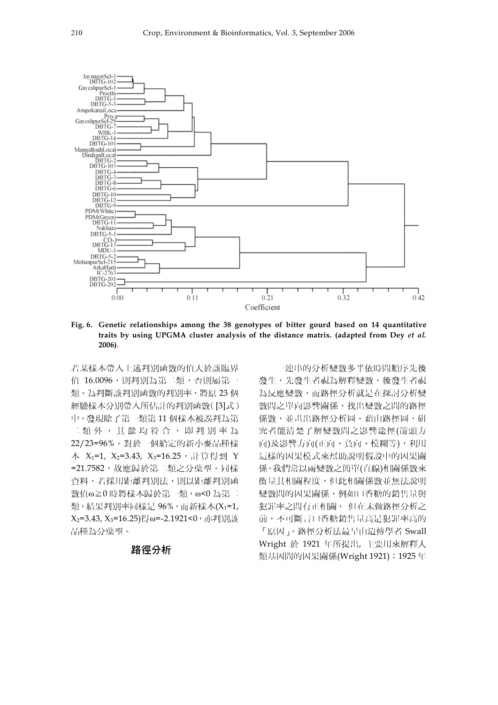

**Fig. 6. Genetic relationships among the 38 genotypes of bitter gourd based on 14 quantitative traits by using UPGMA cluster analysis of the distance matrix. (adapted from Dey** *et al.* **2006).** 

若某樣本帶入上述判別函數的值大於該臨界 值 16.0096,則判別為第二類,否則屬第一 類。為判斷該判別函數的判別率,將原 23個 經驗樣本分別帶入所估計的判別函數([3]式) 中,發現除了第一類第 11 個樣本被誤判為第 二類外,其餘均符合,即判別率為 22/23=96%。對於一個給定的新小麥品種樣 本 X1=1, X2=3.43, X3=16.25, 計算得到 Y =21.7582,故應歸於第二類之分蘗型。同樣 資料,若採用距離判別法,則以距離判別函 數值ω≧0 時將樣本歸於第一類, ω<0 為第二 類,結果判別率同樣是 96%,而新樣本(X1=1, X2=3.43, X3=16.25)得ω=-2.1921<0,亦判別該 品種為分蘗型。

#### 路徑分析

一連串的分析變數多半依時間順序先後 發生,先發生者視為解釋變數,後發生者視 為反應變數,而路徑分析就是在探討分析變 數間之單向影響關係,找出變數之間的路徑 係數,並畫出路徑分析圖。藉由路徑圖,研 究者能清楚了解變數間之影響途徑(箭頭方 向)及影響方向(正向、負向、模糊等),利用 這樣的因果模式來幫助說明假設中的因果關 係。我們常以兩變數之簡單(直線)相關係數來 衡量其相關程度,但此相關係數並無法說明 變數間的因果關係,例如口香糖的銷售量與 犯罪率之間有正相關, 但在未做路徑分析之 前,不可斷言口香糖銷售量高是犯罪率高的 「原因」。路徑分析法最早由遺傳學者 Swall Wright 於 1921 年所提出, 主要用來解釋人 類基因間的因果關係(Wright 1921); 1925年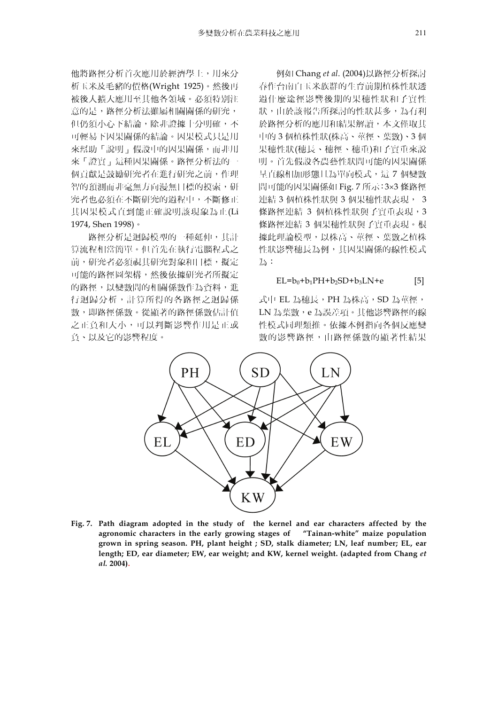他將路徑分析首次應用於經濟學上,用來分 析玉米及毛豬的價格(Wright 1925)。然後再 被後人擴大應用至其他各領域。必須特別注 意的是,路徑分析法雖屬相關關係的研究, 但仍須小心下結論,除非證據十分明確,不 可輕易下因果關係的結論。因果模式只是用 來幫助「說明」假設中的因果關係,而非用 來「證實」這種因果關係。路徑分析法的一 個貢獻是鼓勵研究者在進行研究之前,作理 智的預測而非毫無方向漫無目標的摸索,研 究者也必須在不斷研究的過程中,不斷修正 其因果模式直到能正確說明該現象為止(Li 1974, Shen 1998)。

路徑分析是迴歸模型的一種延伸,其計 算流程相當簡單。但首先在執行電腦程式之 前,研究者必須視其研究對象和目標,擬定 可能的路徑圖架構,然後依據研究者所擬定 的路徑,以變數間的相關係數作為資料,進 行迴歸分析,計算所得的各路徑之迴歸係 數,即路徑係數。從顯著的路徑係數估計值 之正負和大小,可以判斷影響作用是正或 負、以及它的影響程度。

例如 Chang *et al*. (2004)以路徑分析探討 春作台南白玉米族群的生育前期植株性狀透 過什麼途徑影響後期的果穗性狀和子實性 狀,由於該報告所探討的性狀甚多,為有利 於路徑分析的應用和結果解讀,本文僅取其 中的 3 個植株性狀(株高、莖徑、葉數)、3 個 果穗性狀(穗長、穗徑、穗重)和子實重來說 明。首先假設各農藝性狀間可能的因果關係 呈直線相加形態且為單向模式,這 7 個變數 間可能的因果關係如 Fig. 7 所示:3×3 條路徑 連結 3 個植株性狀與 3 個果穗性狀表現, 3 條路徑連結 3 個植株性狀與子實重表現,3 條路徑連結 3 個果穗性狀與子實重表現。根 據此理論模型,以株高、莖徑、葉數之植株 性狀影響穗長為例,其因果關係的線性模式 為:

$$
EL = b_0 + b_1 PH + b_2 SD + b_3 LN + e
$$
 [5]

式中 EL 為穗長, PH 為株高, SD 為莖徑, LN 為葉數,e 為誤差項。其他影響路徑的線 性模式同理類推。依據本例指向各個反應變 數的影響路徑,由路徑係數的顯著性結果



**Fig. 7. Path diagram adopted in the study of the kernel and ear characters affected by the agronomic characters in the early growing stages of "Tainan-white" maize population grown in spring season. PH, plant height ; SD, stalk diameter; LN, leaf number; EL, ear**  length; ED, ear diameter; EW, ear weight; and KW, kernel weight. (adapted from Chang et *al.* **2004).**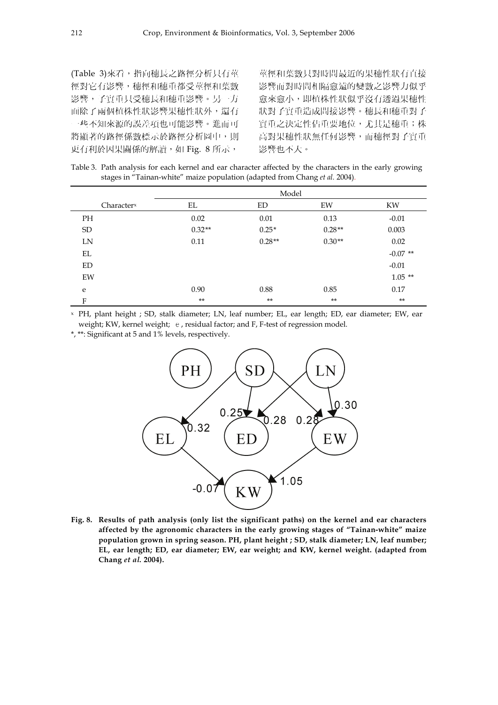(Table 3)來看,指向穗長之路徑分析只有莖 徑對它有影響,穗徑和穗重都受莖徑和葉數 影響,子實重只受穗長和穗重影響。另一方 面除了兩個植株性狀影響果穗性狀外,還有 一些不知來源的誤差項也可能影響。進而可 將顯著的路徑係數標示於路徑分析圖中,則 更有利於因果關係的解讀,如 Fig. 8 所示,

莖徑和葉數只對時間最近的果穗性狀有直接 影響而對時間相隔愈遠的變數之影響力似乎 愈來愈小,即植株性狀似乎沒有透過果穗性 狀對子實重造成間接影響。穗長和穗重對子 實重之決定性佔重要地位,尤其是穗重;株 高對果穗性狀無任何影響,而穗徑對子實重 影響也不大。

Table 3. Path analysis for each kernel and ear character affected by the characters in the early growing stages in "Tainan-white" maize population (adapted from Chang *et al.* 2004).

|                        | Model    |          |          |            |
|------------------------|----------|----------|----------|------------|
| Character <sup>x</sup> | EL       | ED       | EW       | KW         |
| <b>PH</b>              | 0.02     | 0.01     | 0.13     | $-0.01$    |
| <b>SD</b>              | $0.32**$ | $0.25*$  | $0.28**$ | 0.003      |
| LN                     | 0.11     | $0.28**$ | $0.30**$ | 0.02       |
| EL                     |          |          |          | $-0.07$ ** |
| ED                     |          |          |          | $-0.01$    |
| EW                     |          |          |          | $1.05**$   |
| e                      | 0.90     | 0.88     | 0.85     | 0.17       |
| F                      | $**$     | $***$    | $**$     | $***$      |

x PH, plant height ; SD, stalk diameter; LN, leaf number; EL, ear length; ED, ear diameter; EW, ear weight; KW, kernel weight; e, residual factor; and F, F-test of regression model.

\*, \*\*: Significant at 5 and 1% levels, respectively.



**Fig. 8. Results of path analysis (only list the significant paths) on the kernel and ear characters affected by the agronomic characters in the early growing stages of "Tainan-white" maize population grown in spring season. PH, plant height ; SD, stalk diameter; LN, leaf number; EL, ear length; ED, ear diameter; EW, ear weight; and KW, kernel weight. (adapted from Chang** *et al.* **2004).**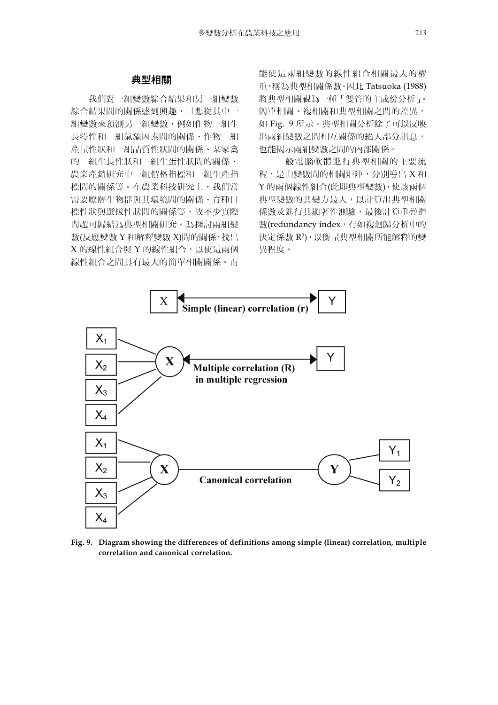#### 典型相關

我們對一組變數綜合結果和另一組變數 綜合結果間的關係感到興趣,且想從其中一 組變數來預測另一組變數,例如作物一組生 長特性和一組氣象因素間的關係、作物一組 產量性狀和一組品質性狀間的關係、某家禽 的一組生長性狀和一組生蛋性狀間的關係、 農業產銷研究中一組價格指標和一組生產指 標間的關係等。在農業科技研究上,我們常 需要瞭解生物群與其環境間的關係、育種目 標性狀與選拔性狀間的關係等,故不少實際 問題可歸結為典型相關研究。為探討兩組變 數(反應變數 Y 和解釋變數 X)間的關係,找出 X 的線性組合與 Y 的線性組合,以使這兩個 線性組合之間具有最大的簡單相關關係。而

能使這兩組變數的線性組合相關最大的權 重,稱為典型相關係數。因此 Tatsuoka (1988) 將典型相關視為一種「雙管的主成份分析」。 簡單相關、複相關和典型相關之間的差異, 如 Fig. 9 所示。典型相關分析除了可以反映 出兩組變數之間相互關係的絕大部分訊息, 也能揭示兩組變數之間的內部關係。

一般電腦軟體進行典型相關的主要流 程,是由變數間的相關矩陣,分別導出 X 和 Y 的兩個線性組合(此即典型變數),使該兩個 典型變數的共變方最大,以計算出典型相關 係數及進行其顯著性測驗,最後計算重疊指 數(redundancy index,有如複迴歸分析中的 決定係數 R2),以衡量典型相關所能解釋的變 異程度。



**Fig. 9. Diagram showing the differences of definitions among simple (linear) correlation, multiple correlation and canonical correlation.**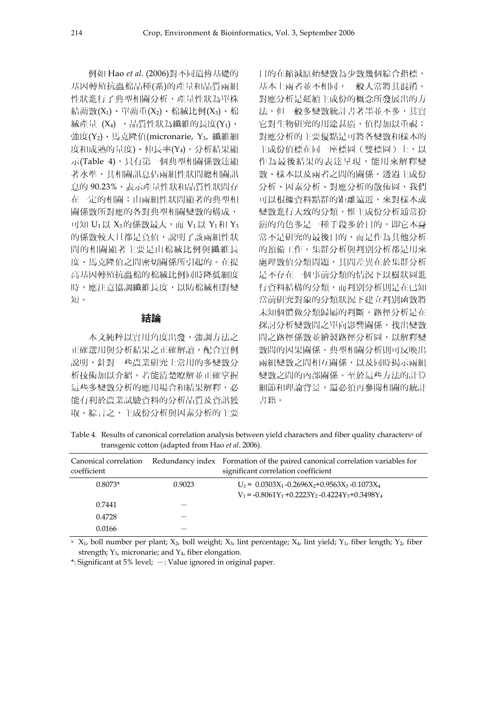例如 Hao *et al*. (2006)對不同遺傳基礎的 基因轉殖抗蟲棉品種(系)的產量和品質兩組 性狀進行了典型相關分析,產量性狀為單株 結蒴數 $(X_1)$ 、單蒴重 $(X_2)$ 、棉絨比例 $(X_3)$ 、棉 絨產量 (X4), 品質性狀為纖維的長度(Y1)、 強度(Y2)、馬克隆值(micronarie, Y3, 纖維細 度和成熟的量度)、伸長率(Y4)。分析結果顯 示(Table 4), 只有第一個典型相關係數達顯 著水準,其相關訊息佔兩組性狀間總相關訊 息的 90.23%,表示產量性狀和品質性狀間存 在一定的相關;由兩組性狀間顯著的典型相 關係數所對應的各對典型相關變數的構成, 可知  $U_1 \cup X_3$ 的係數最大,而  $V_1 \cup X_1$ 和  $Y_3$ 的係數較大且都是負值,說明了該兩組性狀 間的相關顯著主要是由棉絨比例與纖維長 度、馬克隆值之間密切關係所引起的。在提 高基因轉殖抗蟲棉的棉絨比例同時降低細度 時,應注意協調纖維長度,以防棉絨相對變 短。

#### 結論

本文純粹以實用角度出發,強調方法之 正確選用與分析結果之正確解讀,配合實例 說明,針對一些農業研究上常用的多變數分 析技術加以介紹。若能清楚瞭解並正確掌握 這些多變數分析的應用場合和結果解釋,必 能有利於農業試驗資料的分析品質及資訊獲 取。綜言之,主成份分析與因素分析的主要

目的在縮減原始變數為少數幾個綜合指標, 基本上兩者並不相同,一般人常將其混淆。 對應分析是延續主成份的概念所發展出的方 法,但一般多變數統計書著墨並不多,其實 它對生物研究的用途甚廣,值得加以重視; 對應分析的主要優點是可將各變數和樣本的 主成份值標在同一座標圖(雙標圖)上,以 作為最後結果的表達呈現,能用來解釋變 數、樣本以及兩者之間的關係。透過主成份 分析、因素分析、對應分析的散佈圖,我們 可以根據資料點群的距離遠近,來對樣本或 變數進行大致的分類,惟主成份分析通常扮 演的角色多是一種手段多於目的,即它本身 常不是研究的最後目的,而是作為其他分析 的預備工作。集群分析與判別分析都是用來 處理數值分類問題,其間差異在於集群分析 是不存在一個事前分類的情況下以樹狀圖進 行資料結構的分類,而判別分析則是在已知 當前研究對象的分類狀況下建立判別函數將 未知個體做分類歸屬的判斷。路徑分析是在 探討分析變數間之單向影響關係,找出變數 間之路徑係數並繪製路徑分析圖,以解釋變 數間的因果關係。典型相關分析則可反映出 兩組變數之間相互關係,以及同時揭示兩組 變數之間的內部關係。至於這些方法的計算 細節和理論背景,還必須再參閱相關的統計 書籍。

Table 4. Results of canonical correlation analysis between yield characters and fiber quality characters<sup>x</sup> of transgenic cotton (adapted from Hao *et al*. 2006).

| Canonical correlation<br>coefficient |        | Redundancy index Formation of the paired canonical correlation variables for<br>significant correlation coefficient |
|--------------------------------------|--------|---------------------------------------------------------------------------------------------------------------------|
| $0.8073*$                            | 0.9023 | $U_1 = 0.0303X_1 - 0.2696X_2 + 0.9563X_3 - 0.1073X_4$<br>$V_1 = -0.8061Y_1 + 0.2223Y_2 - 0.4224Y_3 + 0.3498Y_4$     |
| 0.7441                               |        |                                                                                                                     |
| 0.4728                               |        |                                                                                                                     |
| 0.0166                               |        |                                                                                                                     |

 $X_1$ , boll number per plant;  $X_2$ , boll weight;  $X_3$ , lint percentage;  $X_4$ , lint yield;  $Y_1$ , fiber length;  $Y_2$ , fiber strength;  $Y_3$ , micronarie; and  $Y_4$ , fiber elongation.

 $*$ : Significant at 5% level;  $-$ : Value ignored in original paper.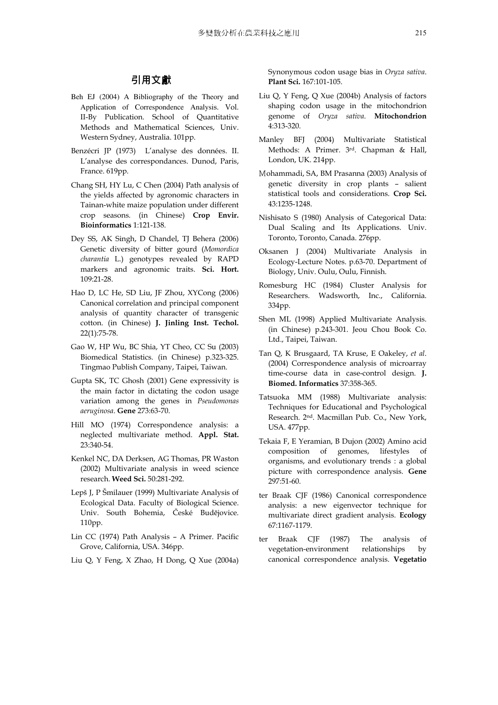## 引用文獻

- Beh EJ (2004) A Bibliography of the Theory and Application of Correspondence Analysis. Vol. II-By Publication. School of Quantitative Methods and Mathematical Sciences, Univ. Western Sydney, Australia. 101pp.
- Benzécri JP (1973) L'analyse des données. II. L'analyse des correspondances. Dunod, Paris, France. 619pp.
- Chang SH, HY Lu, C Chen (2004) Path analysis of the yields affected by agronomic characters in Tainan-white maize population under different crop seasons. (in Chinese) **Crop Envir. Bioinformatics** 1:121-138.
- Dey SS, AK Singh, D Chandel, TJ Behera (2006) Genetic diversity of bitter gourd (*Momordica charantia* L.) genotypes revealed by RAPD markers and agronomic traits. **Sci. Hort.**  109:21-28.
- Hao D, LC He, SD Liu, JF Zhou, XYCong (2006) Canonical correlation and principal component analysis of quantity character of transgenic cotton. (in Chinese) **J. Jinling Inst. Techol.**  22(1):75-78.
- Gao W, HP Wu, BC Shia, YT Cheo, CC Su (2003) Biomedical Statistics. (in Chinese) p.323-325. Tingmao Publish Company, Taipei, Taiwan.
- Gupta SK, TC Ghosh (2001) Gene expressivity is the main factor in dictating the codon usage variation among the genes in *Pseudomonas aeruginosa*. **Gene** 273:63-70.
- Hill MO (1974) Correspondence analysis: a neglected multivariate method. **Appl. Stat.**  23:340-54.
- Kenkel NC, DA Derksen, AG Thomas, PR Waston (2002) Multivariate analysis in weed science research. **Weed Sci.** 50:281-292.
- Lepš J, P Šmilauer (1999) Multivariate Analysis of Ecological Data. Faculty of Biological Science. Univ. South Bohemia, České Budĕjovice. 110pp.
- Lin CC (1974) Path Analysis A Primer. Pacific Grove, California, USA. 346pp.
- Liu Q, Y Feng, X Zhao, H Dong, Q Xue (2004a)

Synonymous codon usage bias in *Oryza sativa*. **Plant Sci.** 167:101-105.

- Liu Q, Y Feng, Q Xue (2004b) Analysis of factors shaping codon usage in the mitochondrion genome of *Oryza sativa*. **Mitochondrion** 4:313-320.
- Manley BFJ (2004) Multivariate Statistical Methods: A Primer. 3rd. Chapman & Hall, London, UK. 214pp.
- Mohammadi, SA, BM Prasanna (2003) Analysis of genetic diversity in crop plants – salient statistical tools and considerations. **Crop Sci.** 43:1235-1248.
- Nishisato S (1980) Analysis of Categorical Data: Dual Scaling and Its Applications. Univ. Toronto, Toronto, Canada. 276pp.
- Oksanen J (2004) Multivariate Analysis in Ecology-Lecture Notes. p.63-70. Department of Biology, Univ. Oulu, Oulu, Finnish.
- Romesburg HC (1984) Cluster Analysis for Researchers. Wadsworth, Inc., California. 334pp.
- Shen ML (1998) Applied Multivariate Analysis. (in Chinese) p.243-301. Jeou Chou Book Co. Ltd., Taipei, Taiwan.
- Tan Q, K Brusgaard, TA Kruse, E Oakeley, *et al*. (2004) Correspondence analysis of microarray time-course data in case-control design. **J. Biomed. Informatics** 37:358-365.
- Tatsuoka MM (1988) Multivariate analysis: Techniques for Educational and Psychological Research. 2nd. Macmillan Pub. Co., New York, USA. 477pp.
- Tekaia F, E Yeramian, B Dujon (2002) Amino acid composition of genomes, lifestyles of organisms, and evolutionary trends : a global picture with correspondence analysis. **Gene** 297:51-60.
- ter Braak CJF (1986) Canonical correspondence analysis: a new eigenvector technique for multivariate direct gradient analysis. **Ecology** 67:1167-1179.
- ter Braak CJF (1987) The analysis of vegetation-environment relationships by canonical correspondence analysis. **Vegetatio**